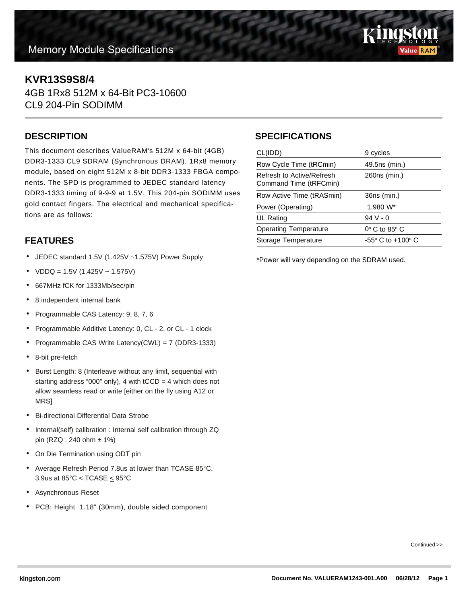

## **KVR13S9S8/4**

4GB 1Rx8 512M x 64-Bit PC3-10600 CL9 204-Pin SODIMM

#### **DESCRIPTION**

This document describes ValueRAM's 512M x 64-bit (4GB) DDR3-1333 CL9 SDRAM (Synchronous DRAM), 1Rx8 memory module, based on eight 512M x 8-bit DDR3-1333 FBGA components. The SPD is programmed to JEDEC standard latency DDR3-1333 timing of 9-9-9 at 1.5V. This 204-pin SODIMM uses gold contact fingers. The electrical and mechanical specifications are as follows:

## **FEATURES**

- JEDEC standard 1.5V (1.425V ~1.575V) Power Supply
- $VDDQ = 1.5V (1.425V 1.575V)$
- 667MHz fCK for 1333Mb/sec/pin
- 8 independent internal bank
- Programmable CAS Latency: 9, 8, 7, 6
- Programmable Additive Latency: 0, CL 2, or CL 1 clock
- Programmable CAS Write Latency(CWL) = 7 (DDR3-1333)
- 8-bit pre-fetch
- Burst Length: 8 (Interleave without any limit, sequential with starting address "000" only), 4 with  $tCCD = 4$  which does not allow seamless read or write [either on the fly using A12 or MRS]
- Bi-directional Differential Data Strobe
- Internal(self) calibration : Internal self calibration through ZQ pin (RZQ : 240 ohm ± 1%)
- On Die Termination using ODT pin
- Average Refresh Period 7.8us at lower than TCASE 85°C, 3.9us at  $85^{\circ}$ C < TCASE  $\leq 95^{\circ}$ C
- Asynchronous Reset
- PCB: Height 1.18" (30mm), double sided component

### **SPECIFICATIONS**

| CL(IDD)                                             | 9 cycles                            |
|-----------------------------------------------------|-------------------------------------|
| Row Cycle Time (tRCmin)                             | 49.5ns (min.)                       |
| Refresh to Active/Refresh<br>Command Time (tRFCmin) | 260ns (min.)                        |
| Row Active Time (tRASmin)                           | 36ns (min.)                         |
| Power (Operating)                                   | $1.980 W^*$                         |
| UL Rating                                           | $94V - 0$                           |
| <b>Operating Temperature</b>                        | $0^\circ$ C to 85 $^\circ$ C        |
| Storage Temperature                                 | $-55^{\circ}$ C to $+100^{\circ}$ C |
|                                                     |                                     |

\*Power will vary depending on the SDRAM used.

Continued >>